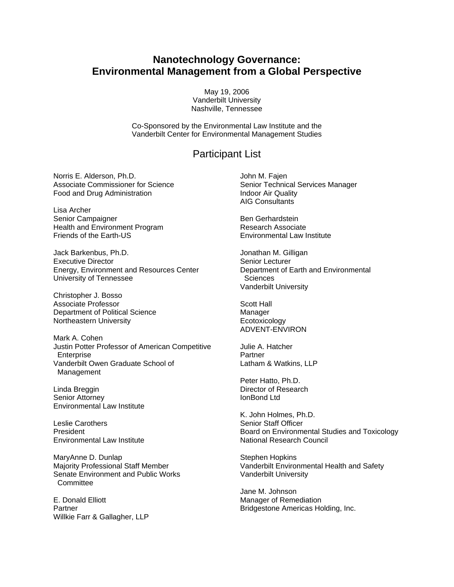## **Nanotechnology Governance: Environmental Management from a Global Perspective**

May 19, 2006 Vanderbilt University Nashville, Tennessee

Co-Sponsored by the Environmental Law Institute and the Vanderbilt Center for Environmental Management Studies

## Participant List

Norris E. Alderson, Ph.D. Associate Commissioner for Science Food and Drug Administration

Lisa Archer Senior Campaigner Health and Environment Program Friends of the Earth-US

Jack Barkenbus, Ph.D. Executive Director Energy, Environment and Resources Center University of Tennessee

Christopher J. Bosso Associate Professor Department of Political Science Northeastern University

Mark A. Cohen Justin Potter Professor of American Competitive **Enterprise** Vanderbilt Owen Graduate School of Management

Linda Breggin Senior Attorney Environmental Law Institute

Leslie Carothers President Environmental Law Institute

MaryAnne D. Dunlap Majority Professional Staff Member Senate Environment and Public Works **Committee** 

E. Donald Elliott **Partner** Willkie Farr & Gallagher, LLP John M. Fajen Senior Technical Services Manager Indoor Air Quality AIG Consultants

Ben Gerhardstein Research Associate Environmental Law Institute

Jonathan M. Gilligan Senior Lecturer Department of Earth and Environmental **Sciences** Vanderbilt University

Scott Hall Manager Ecotoxicology ADVENT-ENVIRON

Julie A. Hatcher **Partner** Latham & Watkins, LLP

Peter Hatto, Ph.D. Director of Research IonBond Ltd

K. John Holmes, Ph.D. Senior Staff Officer Board on Environmental Studies and Toxicology National Research Council

Stephen Hopkins Vanderbilt Environmental Health and Safety Vanderbilt University

Jane M. Johnson Manager of Remediation Bridgestone Americas Holding, Inc.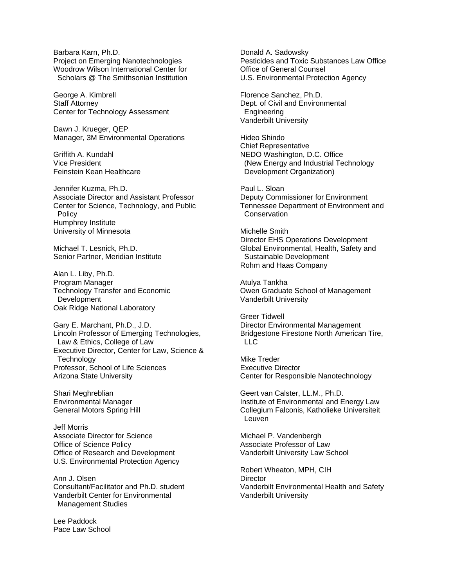Barbara Karn, Ph.D. Project on Emerging Nanotechnologies Woodrow Wilson International Center for Scholars @ The Smithsonian Institution

George A. Kimbrell Staff Attorney Center for Technology Assessment

Dawn J. Krueger, QEP Manager, 3M Environmental Operations

Griffith A. Kundahl Vice President Feinstein Kean Healthcare

Jennifer Kuzma, Ph.D. Associate Director and Assistant Professor Center for Science, Technology, and Public **Policy** Humphrey Institute University of Minnesota

Michael T. Lesnick, Ph.D. Senior Partner, Meridian Institute

Alan L. Liby, Ph.D. Program Manager Technology Transfer and Economic Development Oak Ridge National Laboratory

Gary E. Marchant, Ph.D., J.D. Lincoln Professor of Emerging Technologies, Law & Ethics, College of Law Executive Director, Center for Law, Science & **Technology** Professor, School of Life Sciences Arizona State University

Shari Meghreblian Environmental Manager General Motors Spring Hill

Jeff Morris Associate Director for Science Office of Science Policy Office of Research and Development U.S. Environmental Protection Agency

Ann J. Olsen Consultant/Facilitator and Ph.D. student Vanderbilt Center for Environmental Management Studies

Lee Paddock Pace Law School Donald A. Sadowsky Pesticides and Toxic Substances Law Office Office of General Counsel U.S. Environmental Protection Agency

Florence Sanchez, Ph.D. Dept. of Civil and Environmental Engineering Vanderbilt University

Hideo Shindo Chief Representative NEDO Washington, D.C. Office (New Energy and Industrial Technology Development Organization)

Paul L. Sloan Deputy Commissioner for Environment Tennessee Department of Environment and **Conservation** 

Michelle Smith Director EHS Operations Development Global Environmental, Health, Safety and Sustainable Development Rohm and Haas Company

Atulya Tankha Owen Graduate School of Management Vanderbilt University

Greer Tidwell Director Environmental Management Bridgestone Firestone North American Tire, LLC

Mike Treder Executive Director Center for Responsible Nanotechnology

Geert van Calster, LL.M., Ph.D. Institute of Environmental and Energy Law Collegium Falconis, Katholieke Universiteit Leuven

Michael P. Vandenbergh Associate Professor of Law Vanderbilt University Law School

Robert Wheaton, MPH, CIH **Director** Vanderbilt Environmental Health and Safety Vanderbilt University